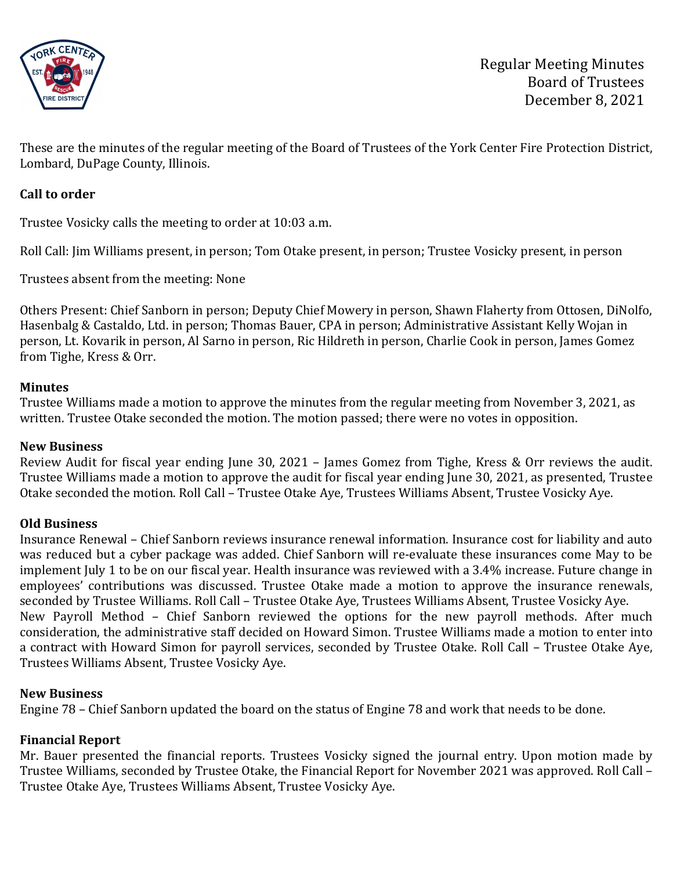

These are the minutes of the regular meeting of the Board of Trustees of the York Center Fire Protection District, Lombard, DuPage County, Illinois.

## **Call to order**

Trustee Vosicky calls the meeting to order at 10:03 a.m.

Roll Call: Jim Williams present, in person; Tom Otake present, in person; Trustee Vosicky present, in person

Trustees absent from the meeting: None

Others Present: Chief Sanborn in person; Deputy Chief Mowery in person, Shawn Flaherty from Ottosen, DiNolfo, Hasenbalg & Castaldo, Ltd. in person; Thomas Bauer, CPA in person; Administrative Assistant Kelly Wojan in person, Lt. Kovarik in person, Al Sarno in person, Ric Hildreth in person, Charlie Cook in person, James Gomez from Tighe, Kress & Orr.

#### **Minutes**

Trustee Williams made a motion to approve the minutes from the regular meeting from November 3, 2021, as written. Trustee Otake seconded the motion. The motion passed; there were no votes in opposition.

#### **New Business**

Review Audit for fiscal year ending June 30, 2021 – James Gomez from Tighe, Kress & Orr reviews the audit. Trustee Williams made a motion to approve the audit for fiscal year ending June 30, 2021, as presented, Trustee Otake seconded the motion. Roll Call – Trustee Otake Aye, Trustees Williams Absent, Trustee Vosicky Aye.

#### **Old Business**

Insurance Renewal – Chief Sanborn reviews insurance renewal information. Insurance cost for liability and auto was reduced but a cyber package was added. Chief Sanborn will re-evaluate these insurances come May to be implement July 1 to be on our fiscal year. Health insurance was reviewed with a 3.4% increase. Future change in employees' contributions was discussed. Trustee Otake made a motion to approve the insurance renewals, seconded by Trustee Williams. Roll Call – Trustee Otake Aye, Trustees Williams Absent, Trustee Vosicky Aye. New Payroll Method – Chief Sanborn reviewed the options for the new payroll methods. After much consideration, the administrative staff decided on Howard Simon. Trustee Williams made a motion to enter into a contract with Howard Simon for payroll services, seconded by Trustee Otake. Roll Call – Trustee Otake Aye, Trustees Williams Absent, Trustee Vosicky Aye.

#### **New Business**

Engine 78 – Chief Sanborn updated the board on the status of Engine 78 and work that needs to be done.

#### **Financial Report**

Mr. Bauer presented the financial reports. Trustees Vosicky signed the journal entry. Upon motion made by Trustee Williams, seconded by Trustee Otake, the Financial Report for November 2021 was approved. Roll Call – Trustee Otake Aye, Trustees Williams Absent, Trustee Vosicky Aye.